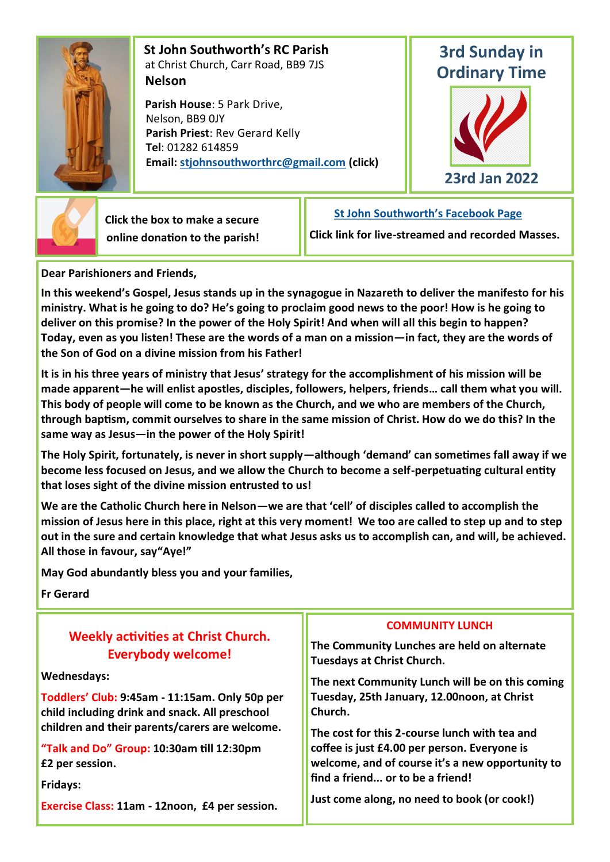

 **St John Southworth's RC Parish** at Christ Church, Carr Road, BB9 7JS **Nelson**

 **Parish House**: 5 Park Drive, Nelson, BB9 0JY **Parish Priest**: Rev Gerard Kelly **Tel**: 01282 614859 **Email: [stjohnsouthworthrc@gmail.com](mailto:stjohnsouthworth@gmail.com) (click)**

# **3rd Sunday in Ordinary Time**





 **Click the box to make a secure online donation to the parish!** **[St John Southworth's Facebook Page](https://www.facebook.com/Parish-of-St-John-Southworth-in-Nelson-105718084323986)**

**Click link for live-streamed and recorded Masses.**

**Dear Parishioners and Friends,**

**In this weekend's Gospel, Jesus stands up in the synagogue in Nazareth to deliver the manifesto for his ministry. What is he going to do? He's going to proclaim good news to the poor! How is he going to deliver on this promise? In the power of the Holy Spirit! And when will all this begin to happen? Today, even as you listen! These are the words of a man on a mission—in fact, they are the words of the Son of God on a divine mission from his Father!**

**It is in his three years of ministry that Jesus' strategy for the accomplishment of his mission will be made apparent—he will enlist apostles, disciples, followers, helpers, friends… call them what you will. This body of people will come to be known as the Church, and we who are members of the Church, through baptism, commit ourselves to share in the same mission of Christ. How do we do this? In the same way as Jesus—in the power of the Holy Spirit!**

**The Holy Spirit, fortunately, is never in short supply—although 'demand' can sometimes fall away if we become less focused on Jesus, and we allow the Church to become a self-perpetuating cultural entity that loses sight of the divine mission entrusted to us!**

**We are the Catholic Church here in Nelson—we are that 'cell' of disciples called to accomplish the mission of Jesus here in this place, right at this very moment! We too are called to step up and to step out in the sure and certain knowledge that what Jesus asks us to accomplish can, and will, be achieved. All those in favour, say"Aye!"**

**May God abundantly bless you and your families,**

**Fr Gerard**

| <b>Weekly activities at Christ Church.</b><br><b>Everybody welcome!</b><br><b>Wednesdays:</b>    | <b>COMMUNITY LUNCH</b><br>The Community Lunches are held on alternate<br><b>Tuesdays at Christ Church.</b> |  |  |  |
|--------------------------------------------------------------------------------------------------|------------------------------------------------------------------------------------------------------------|--|--|--|
|                                                                                                  | The next Community Lunch will be on this coming                                                            |  |  |  |
| Toddlers' Club: 9:45am - 11:15am. Only 50p per<br>child including drink and snack. All preschool | Tuesday, 25th January, 12.00noon, at Christ<br>Church.<br>The cost for this 2-course lunch with tea and    |  |  |  |
| children and their parents/carers are welcome.                                                   |                                                                                                            |  |  |  |
| "Talk and Do" Group: 10:30am till 12:30pm                                                        | coffee is just £4.00 per person. Everyone is                                                               |  |  |  |
| £2 per session.                                                                                  | welcome, and of course it's a new opportunity to                                                           |  |  |  |
| <b>Fridays:</b>                                                                                  | find a friend or to be a friend!                                                                           |  |  |  |
| Exercise Class: 11am - 12noon, £4 per session.                                                   | Just come along, no need to book (or cook!)                                                                |  |  |  |